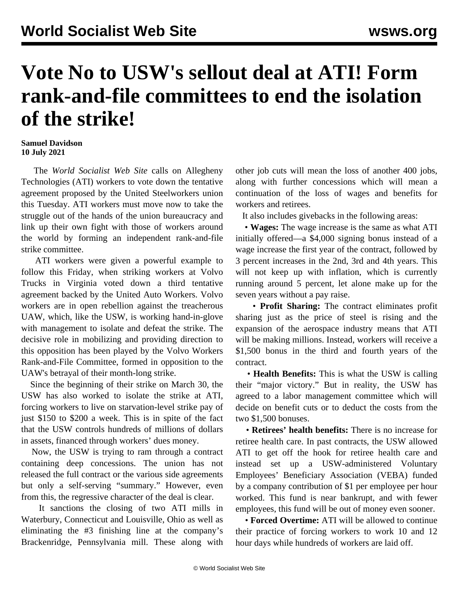## **Vote No to USW's sellout deal at ATI! Form rank-and-file committees to end the isolation of the strike!**

## **Samuel Davidson 10 July 2021**

 The *World Socialist Web Site* calls on Allegheny Technologies (ATI) workers to vote down the tentative agreement proposed by the United Steelworkers union this Tuesday. ATI workers must move now to take the struggle out of the hands of the union bureaucracy and link up their own fight with those of workers around the world by forming an independent rank-and-file strike committee.

 ATI workers were given a powerful example to follow this Friday, when striking workers at Volvo Trucks in Virginia [voted down a third tentative](/en/articles/2021/07/10/volv-j10.html) [agreement](/en/articles/2021/07/10/volv-j10.html) backed by the United Auto Workers. Volvo workers are in open rebellion against the treacherous UAW, which, like the USW, is working hand-in-glove with management to isolate and defeat the strike. The decisive role in mobilizing and providing direction to this opposition has been played by the Volvo Workers Rank-and-File Committee, formed in opposition to the UAW's betrayal of their month-long strike.

 Since the beginning of their strike on March 30, the USW has also worked to isolate the strike at ATI, forcing workers to live on starvation-level strike pay of just \$150 to \$200 a week. This is in spite of the fact that the USW controls hundreds of millions of dollars in assets, financed through workers' dues money.

 Now, the USW is trying to ram through a contract containing deep concessions. The union has not released the full contract or the various side agreements but only a self-serving "summary." However, even from this, the regressive character of the deal is clear.

 It sanctions the closing of two ATI mills in Waterbury, Connecticut and Louisville, Ohio as well as eliminating the #3 finishing line at the company's Brackenridge, Pennsylvania mill. These along with other job cuts will mean the loss of another 400 jobs, along with further concessions which will mean a continuation of the loss of wages and benefits for workers and retirees.

It also includes givebacks in the following areas:

 • **Wages:** The wage increase is the same as what ATI initially offered—a \$4,000 signing bonus instead of a wage increase the first year of the contract, followed by 3 percent increases in the 2nd, 3rd and 4th years. This will not keep up with inflation, which is currently running around 5 percent, let alone make up for the seven years without a pay raise.

 • **Profit Sharing:** The contract eliminates profit sharing just as the price of steel is rising and the expansion of the aerospace industry means that ATI will be making millions. Instead, workers will receive a \$1,500 bonus in the third and fourth years of the contract.

 • **Health Benefits:** This is what the USW is calling their "major victory." But in reality, the USW has agreed to a labor management committee which will decide on benefit cuts or to deduct the costs from the two \$1,500 bonuses.

 • **Retirees' health benefits:** There is no increase for retiree health care. In past contracts, the USW allowed ATI to get off the hook for retiree health care and instead set up a USW-administered Voluntary Employees' Beneficiary Association (VEBA) funded by a company contribution of \$1 per employee per hour worked. This fund is near bankrupt, and with fewer employees, this fund will be out of money even sooner.

 • **Forced Overtime:** ATI will be allowed to continue their practice of forcing workers to work 10 and 12 hour days while hundreds of workers are laid off.